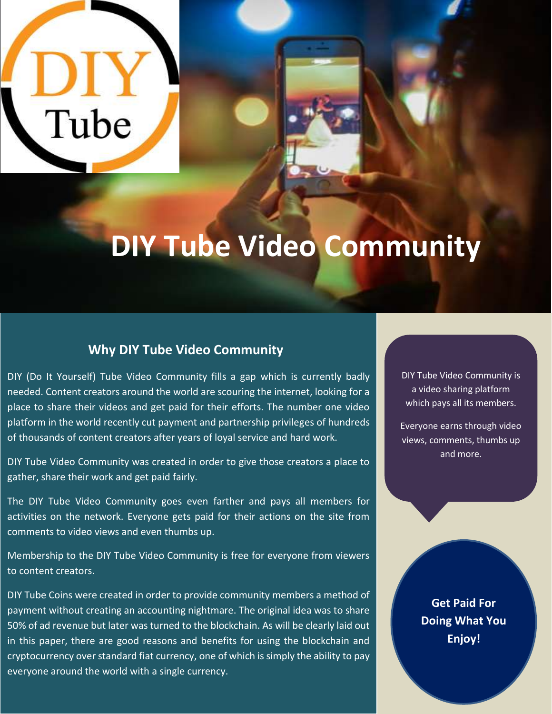# **Tube**

# **DIY Tube Video Community**

### **Why DIY Tube Video Community**

DIY (Do It Yourself) Tube Video Community fills a gap which is currently badly needed. Content creators around the world are scouring the internet, looking for a place to share their videos and get paid for their efforts. The number one video platform in the world recently cut payment and partnership privileges of hundreds of thousands of content creators after years of loyal service and hard work.

DIY Tube Video Community was created in order to give those creators a place to gather, share their work and get paid fairly.

The DIY Tube Video Community goes even farther and pays all members for activities on the network. Everyone gets paid for their actions on the site from comments to video views and even thumbs up.

Membership to the DIY Tube Video Community is free for everyone from viewers to content creators.

DIY Tube Coins were created in order to provide community members a method of payment without creating an accounting nightmare. The original idea was to share 50% of ad revenue but later was turned to the blockchain. As will be clearly laid out in this paper, there are good reasons and benefits for using the blockchain and cryptocurrency over standard fiat currency, one of which is simply the ability to pay everyone around the world with a single currency.

DIY Tube Video Community is a video sharing platform which pays all its members.

Everyone earns through video views, comments, thumbs up and more.

> **Get Paid For Doing What You Enjoy!**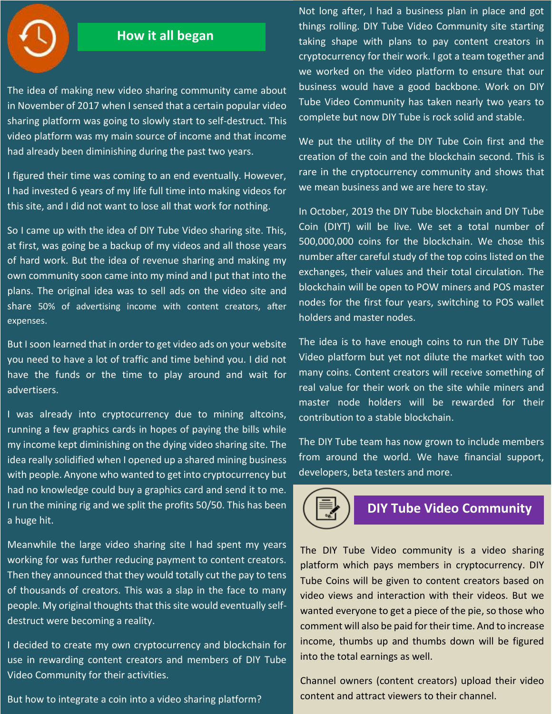### **How it all began**

The idea of making new video sharing community came about in November of 2017 when I sensed that a certain popular video sharing platform was going to slowly start to self-destruct. This video platform was my main source of income and that income had already been diminishing during the past two years.

I figured their time was coming to an end eventually. However, I had invested 6 years of my life full time into making videos for this site, and I did not want to lose all that work for nothing.

So I came up with the idea of DIY Tube Video sharing site. This, at first, was going be a backup of my videos and all those years of hard work. But the idea of revenue sharing and making my own community soon came into my mind and I put that into the plans. The original idea was to sell ads on the video site and share 50% of advertising income with content creators, after expenses.

But I soon learned that in order to get video ads on your website you need to have a lot of traffic and time behind you. I did not have the funds or the time to play around and wait for advertisers.

I was already into cryptocurrency due to mining altcoins, running a few graphics cards in hopes of paying the bills while my income kept diminishing on the dying video sharing site. The idea really solidified when I opened up a shared mining business with people. Anyone who wanted to get into cryptocurrency but had no knowledge could buy a graphics card and send it to me. I run the mining rig and we split the profits 50/50. This has been a huge hit.

Meanwhile the large video sharing site I had spent my years working for was further reducing payment to content creators. Then they announced that they would totally cut the pay to tens of thousands of creators. This was a slap in the face to many people. My original thoughts that this site would eventually selfdestruct were becoming a reality.

I decided to create my own cryptocurrency and blockchain for use in rewarding content creators and members of DIY Tube Video Community for their activities.

But how to integrate a coin into a video sharing platform?

Not long after, I had a business plan in place and got things rolling. DIY Tube Video Community site starting taking shape with plans to pay content creators in cryptocurrency for their work. I got a team together and we worked on the video platform to ensure that our business would have a good backbone. Work on DIY Tube Video Community has taken nearly two years to complete but now DIY Tube is rock solid and stable.

We put the utility of the DIY Tube Coin first and the creation of the coin and the blockchain second. This is rare in the cryptocurrency community and shows that we mean business and we are here to stay.

In October, 2019 the DIY Tube blockchain and DIY Tube Coin (DIYT) will be live. We set a total number of 500,000,000 coins for the blockchain. We chose this number after careful study of the top coins listed on the exchanges, their values and their total circulation. The blockchain will be open to POW miners and POS master nodes for the first four years, switching to POS wallet holders and master nodes.

The idea is to have enough coins to run the DIY Tube Video platform but yet not dilute the market with too many coins. Content creators will receive something of real value for their work on the site while miners and master node holders will be rewarded for their contribution to a stable blockchain.

The DIY Tube team has now grown to include members from around the world. We have financial support, developers, beta testers and more.

### **DIY Tube Video Community**

The DIY Tube Video community is a video sharing platform which pays members in cryptocurrency. DIY Tube Coins will be given to content creators based on video views and interaction with their videos. But we wanted everyone to get a piece of the pie, so those who comment will also be paid for their time. And to increase income, thumbs up and thumbs down will be figured into the total earnings as well.

Channel owners (content creators) upload their video content and attract viewers to their channel.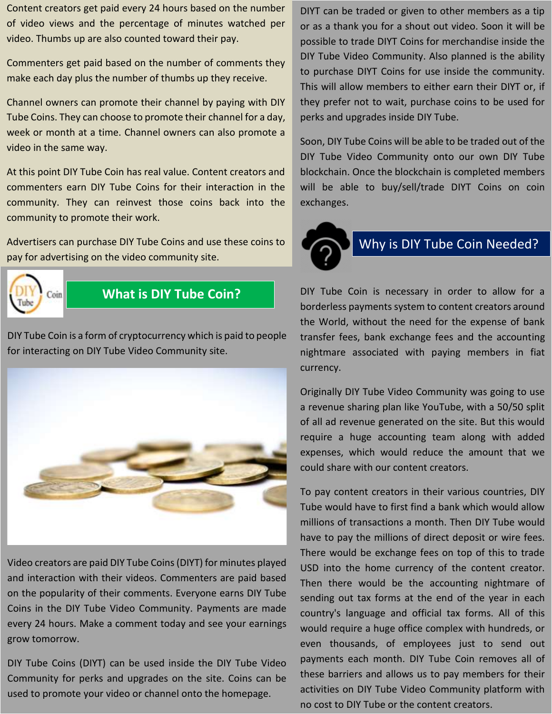Content creators get paid every 24 hours based on the number of video views and the percentage of minutes watched per video. Thumbs up are also counted toward their pay.

Commenters get paid based on the number of comments they make each day plus the number of thumbs up they receive.

Channel owners can promote their channel by paying with DIY Tube Coins. They can choose to promote their channel for a day, week or month at a time. Channel owners can also promote a video in the same way.

At this point DIY Tube Coin has real value. Content creators and commenters earn DIY Tube Coins for their interaction in the community. They can reinvest those coins back into the community to promote their work.

Advertisers can purchase DIY Tube Coins and use these coins to pay for advertising on the video community site.



### **What is DIY Tube Coin?**

DIY Tube Coin is a form of cryptocurrency which is paid to people **For the Community of processing minimally** for interacting on DIY Tube Video Community site.



Video creators are paid DIY Tube Coins (DIYT) for minutes played and interaction with their videos. Commenters are paid based on the popularity of their comments. Everyone earns DIY Tube Coins in the DIY Tube Video Community. Payments are made every 24 hours. Make a comment today and see your earnings grow tomorrow.

DIY Tube Coins (DIYT) can be used inside the DIY Tube Video Community for perks and upgrades on the site. Coins can be used to promote your video or channel onto the homepage.

DIYT can be traded or given to other members as a tip or as a thank you for a shout out video. Soon it will be possible to trade DIYT Coins for merchandise inside the DIY Tube Video Community. Also planned is the ability to purchase DIYT Coins for use inside the community. This will allow members to either earn their DIYT or, if they prefer not to wait, purchase coins to be used for perks and upgrades inside DIY Tube.

Soon, DIY Tube Coins will be able to be traded out of the DIY Tube Video Community onto our own DIY Tube blockchain. Once the blockchain is completed members will be able to buy/sell/trade DIYT Coins on coin exchanges.



## Why is DIY Tube Coin Needed?

DIY Tube Coin is necessary in order to allow for a borderless payments system to content creators around the World, without the need for the expense of bank transfer fees, bank exchange fees and the accounting nightmare associated with paying members in fiat currency.

Originally DIY Tube Video Community was going to use a revenue sharing plan like YouTube, with a 50/50 split of all ad revenue generated on the site. But this would require a huge accounting team along with added expenses, which would reduce the amount that we could share with our content creators.

To pay content creators in their various countries, DIY Tube would have to first find a bank which would allow millions of transactions a month. Then DIY Tube would have to pay the millions of direct deposit or wire fees. There would be exchange fees on top of this to trade USD into the home currency of the content creator. Then there would be the accounting nightmare of sending out tax forms at the end of the year in each country's language and official tax forms. All of this would require a huge office complex with hundreds, or even thousands, of employees just to send out payments each month. DIY Tube Coin removes all of these barriers and allows us to pay members for their activities on DIY Tube Video Community platform with no cost to DIY Tube or the content creators.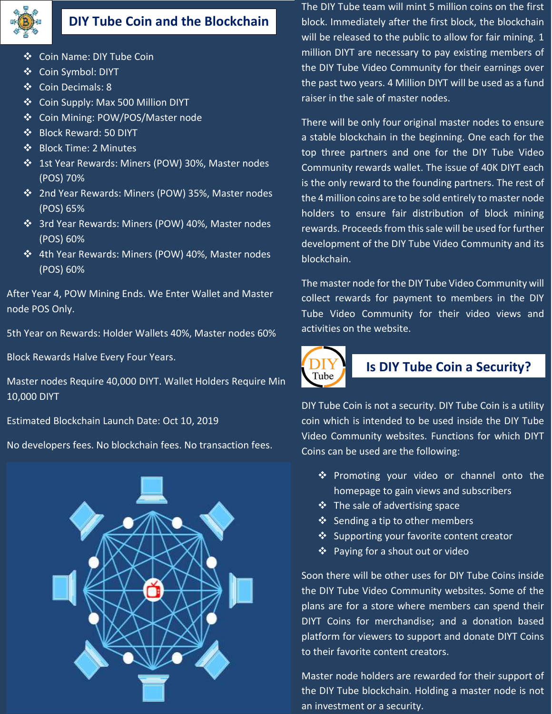

### **DIY Tube Coin and the Blockchain**

- ❖ Coin Name: DIY Tube Coin
- ❖ Coin Symbol: DIYT
- Coin Decimals: 8
- ❖ Coin Supply: Max 500 Million DIYT
- Coin Mining: POW/POS/Master node
- ❖ Block Reward: 50 DIYT
- ❖ Block Time: 2 Minutes
- 1st Year Rewards: Miners (POW) 30%, Master nodes (POS) 70%
- 2nd Year Rewards: Miners (POW) 35%, Master nodes (POS) 65%
- 3rd Year Rewards: Miners (POW) 40%, Master nodes (POS) 60%
- 4th Year Rewards: Miners (POW) 40%, Master nodes (POS) 60%

After Year 4, POW Mining Ends. We Enter Wallet and Master node POS Only.

5th Year on Rewards: Holder Wallets 40%, Master nodes 60%

Block Rewards Halve Every Four Years.

Master nodes Require 40,000 DIYT. Wallet Holders Require Min 10,000 DIYT

Estimated Blockchain Launch Date: Oct 10, 2019

No developers fees. No blockchain fees. No transaction fees.



The DIY Tube team will mint 5 million coins on the first block. Immediately after the first block, the blockchain will be released to the public to allow for fair mining. 1 million DIYT are necessary to pay existing members of the DIY Tube Video Community for their earnings over the past two years. 4 Million DIYT will be used as a fund raiser in the sale of master nodes.

There will be only four original master nodes to ensure a stable blockchain in the beginning. One each for the top three partners and one for the DIY Tube Video Community rewards wallet. The issue of 40K DIYT each is the only reward to the founding partners. The rest of the 4 million coins are to be sold entirely to master node holders to ensure fair distribution of block mining rewards. Proceeds from this sale will be used for further development of the DIY Tube Video Community and its blockchain.

The master node for the DIY Tube Video Community will collect rewards for payment to members in the DIY Tube Video Community for their video views and activities on the website.



### **Is DIY Tube Coin a Security?**

DIY Tube Coin is not a security. DIY Tube Coin is a utility coin which is intended to be used inside the DIY Tube Video Community websites. Functions for which DIYT Coins can be used are the following:

- ❖ Promoting your video or channel onto the homepage to gain views and subscribers
- $\triangleleft$  The sale of advertising space
- $\triangleleft$  Sending a tip to other members
- ❖ Supporting your favorite content creator
- ❖ Paying for a shout out or video

Soon there will be other uses for DIY Tube Coins inside the DIY Tube Video Community websites. Some of the plans are for a store where members can spend their DIYT Coins for merchandise; and a donation based platform for viewers to support and donate DIYT Coins to their favorite content creators.

Master node holders are rewarded for their support of the DIY Tube blockchain. Holding a master node is not an investment or a security.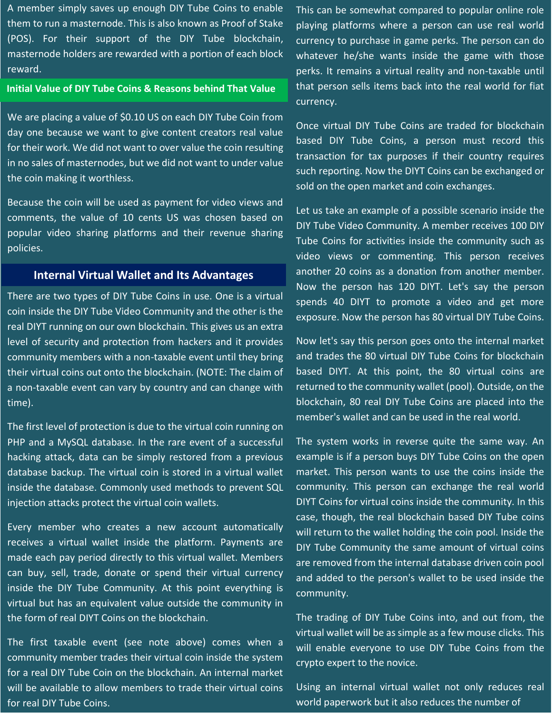A member simply saves up enough DIY Tube Coins to enable them to run a masternode. This is also known as Proof of Stake (POS). For their support of the DIY Tube blockchain, masternode holders are rewarded with a portion of each block reward.

### **Initial Value of DIY Tube Coins & Reasons behind That Value**

We are placing a value of \$0.10 US on each DIY Tube Coin from day one because we want to give content creators real value for their work. We did not want to over value the coin resulting in no sales of masternodes, but we did not want to under value the coin making it worthless.

Because the coin will be used as payment for video views and comments, the value of 10 cents US was chosen based on popular video sharing platforms and their revenue sharing policies.

### **Internal Virtual Wallet and Its Advantages**

There are two types of DIY Tube Coins in use. One is a virtual coin inside the DIY Tube Video Community and the other is the real DIYT running on our own blockchain. This gives us an extra level of security and protection from hackers and it provides community members with a non-taxable event until they bring their virtual coins out onto the blockchain. (NOTE: The claim of a non-taxable event can vary by country and can change with time).

The first level of protection is due to the virtual coin running on PHP and a MySQL database. In the rare event of a successful hacking attack, data can be simply restored from a previous database backup. The virtual coin is stored in a virtual wallet inside the database. Commonly used methods to prevent SQL injection attacks protect the virtual coin wallets.

Every member who creates a new account automatically receives a virtual wallet inside the platform. Payments are made each pay period directly to this virtual wallet. Members can buy, sell, trade, donate or spend their virtual currency inside the DIY Tube Community. At this point everything is virtual but has an equivalent value outside the community in the form of real DIYT Coins on the blockchain.

The first taxable event (see note above) comes when a community member trades their virtual coin inside the system for a real DIY Tube Coin on the blockchain. An internal market will be available to allow members to trade their virtual coins for real DIY Tube Coins.

This can be somewhat compared to popular online role playing platforms where a person can use real world currency to purchase in game perks. The person can do whatever he/she wants inside the game with those perks. It remains a virtual reality and non-taxable until that person sells items back into the real world for fiat currency.

Once virtual DIY Tube Coins are traded for blockchain based DIY Tube Coins, a person must record this transaction for tax purposes if their country requires such reporting. Now the DIYT Coins can be exchanged or sold on the open market and coin exchanges.

Let us take an example of a possible scenario inside the DIY Tube Video Community. A member receives 100 DIY Tube Coins for activities inside the community such as video views or commenting. This person receives another 20 coins as a donation from another member. Now the person has 120 DIYT. Let's say the person spends 40 DIYT to promote a video and get more exposure. Now the person has 80 virtual DIY Tube Coins.

Now let's say this person goes onto the internal market and trades the 80 virtual DIY Tube Coins for blockchain based DIYT. At this point, the 80 virtual coins are returned to the community wallet (pool). Outside, on the blockchain, 80 real DIY Tube Coins are placed into the member's wallet and can be used in the real world.

The system works in reverse quite the same way. An example is if a person buys DIY Tube Coins on the open market. This person wants to use the coins inside the community. This person can exchange the real world DIYT Coins for virtual coins inside the community. In this case, though, the real blockchain based DIY Tube coins will return to the wallet holding the coin pool. Inside the DIY Tube Community the same amount of virtual coins are removed from the internal database driven coin pool and added to the person's wallet to be used inside the community.

The trading of DIY Tube Coins into, and out from, the virtual wallet will be as simple as a few mouse clicks. This will enable everyone to use DIY Tube Coins from the crypto expert to the novice.

Using an internal virtual wallet not only reduces real world paperwork but it also reduces the number of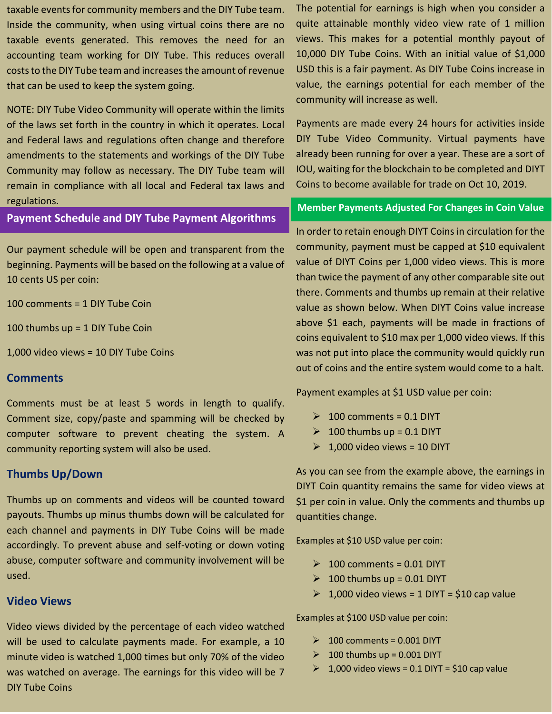taxable events for community members and the DIY Tube team. Inside the community, when using virtual coins there are no taxable events generated. This removes the need for an accounting team working for DIY Tube. This reduces overall costs to the DIY Tube team and increases the amount of revenue that can be used to keep the system going.

NOTE: DIY Tube Video Community will operate within the limits of the laws set forth in the country in which it operates. Local and Federal laws and regulations often change and therefore amendments to the statements and workings of the DIY Tube Community may follow as necessary. The DIY Tube team will remain in compliance with all local and Federal tax laws and regulations.

### **Payment Schedule and DIY Tube Payment Algorithms**

Our payment schedule will be open and transparent from the beginning. Payments will be based on the following at a value of 10 cents US per coin:

100 comments = 1 DIY Tube Coin

100 thumbs up = 1 DIY Tube Coin

1,000 video views = 10 DIY Tube Coins

### **Comments**

Comments must be at least 5 words in length to qualify. Comment size, copy/paste and spamming will be checked by computer software to prevent cheating the system. A community reporting system will also be used.

### **Thumbs Up/Down**

Thumbs up on comments and videos will be counted toward payouts. Thumbs up minus thumbs down will be calculated for each channel and payments in DIY Tube Coins will be made accordingly. To prevent abuse and self-voting or down voting abuse, computer software and community involvement will be used.

### **Video Views**

Video views divided by the percentage of each video watched will be used to calculate payments made. For example, a 10 minute video is watched 1,000 times but only 70% of the video was watched on average. The earnings for this video will be 7 DIY Tube Coins

The potential for earnings is high when you consider a quite attainable monthly video view rate of 1 million views. This makes for a potential monthly payout of 10,000 DIY Tube Coins. With an initial value of \$1,000 USD this is a fair payment. As DIY Tube Coins increase in value, the earnings potential for each member of the community will increase as well.

Payments are made every 24 hours for activities inside DIY Tube Video Community. Virtual payments have already been running for over a year. These are a sort of IOU, waiting for the blockchain to be completed and DIYT Coins to become available for trade on Oct 10, 2019.

### **Member Payments Adjusted For Changes in Coin Value**

In order to retain enough DIYT Coins in circulation for the community, payment must be capped at \$10 equivalent value of DIYT Coins per 1,000 video views. This is more than twice the payment of any other comparable site out there. Comments and thumbs up remain at their relative value as shown below. When DIYT Coins value increase above \$1 each, payments will be made in fractions of coins equivalent to \$10 max per 1,000 video views. If this was not put into place the community would quickly run out of coins and the entire system would come to a halt.

Payment examples at \$1 USD value per coin:

- $\geq 100$  comments = 0.1 DIYT
- $\geqslant$  100 thumbs up = 0.1 DIYT
- $\geq 1,000$  video views = 10 DIYT

As you can see from the example above, the earnings in DIYT Coin quantity remains the same for video views at \$1 per coin in value. Only the comments and thumbs up quantities change.

Examples at \$10 USD value per coin:

- $\geq 100$  comments = 0.01 DIYT
- $\geqslant$  100 thumbs up = 0.01 DIYT
- $\geq 1,000$  video views = 1 DIYT = \$10 cap value

Examples at \$100 USD value per coin:

- $\geq 100$  comments = 0.001 DIYT
- $\geqslant$  100 thumbs up = 0.001 DIYT
- $\geq 1,000$  video views = 0.1 DIYT = \$10 cap value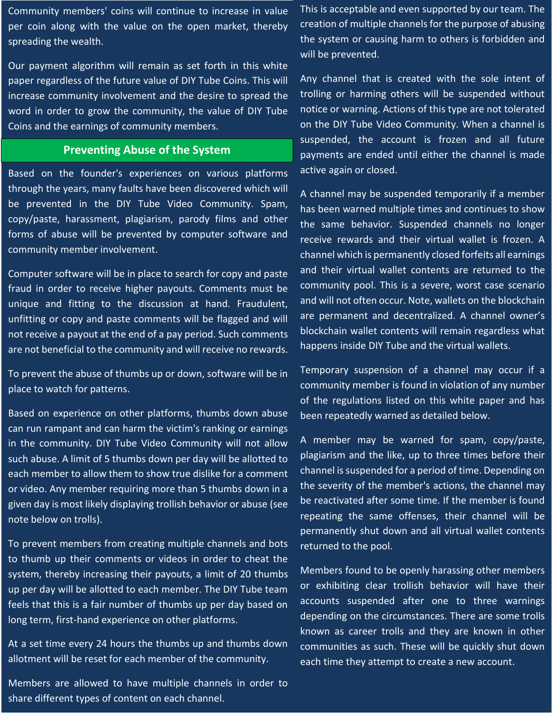Community members' coins will continue to increase in value per coin along with the value on the open market, thereby spreading the wealth.

Our payment algorithm will remain as set forth in this white paper regardless of the future value of DIY Tube Coins. This will increase community involvement and the desire to spread the word in order to grow the community, the value of DIY Tube Coins and the earnings of community members.

### **Preventing Abuse of the System**

Based on the founder's experiences on various platforms through the years, many faults have been discovered which will be prevented in the DIY Tube Video Community. Spam, copy/paste, harassment, plagiarism, parody films and other forms of abuse will be prevented by computer software and community member involvement.

Computer software will be in place to search for copy and paste fraud in order to receive higher payouts. Comments must be unique and fitting to the discussion at hand. Fraudulent, unfitting or copy and paste comments will be flagged and will not receive a payout at the end of a pay period. Such comments are not beneficial to the community and will receive no rewards.

To prevent the abuse of thumbs up or down, software will be in place to watch for patterns.

Based on experience on other platforms, thumbs down abuse can run rampant and can harm the victim's ranking or earnings in the community. DIY Tube Video Community will not allow such abuse. A limit of 5 thumbs down per day will be allotted to each member to allow them to show true dislike for a comment or video. Any member requiring more than 5 thumbs down in a given day is most likely displaying trollish behavior or abuse (see note below on trolls).

To prevent members from creating multiple channels and bots to thumb up their comments or videos in order to cheat the system, thereby increasing their payouts, a limit of 20 thumbs up per day will be allotted to each member. The DIY Tube team feels that this is a fair number of thumbs up per day based on long term, first-hand experience on other platforms.

At a set time every 24 hours the thumbs up and thumbs down allotment will be reset for each member of the community.

Members are allowed to have multiple channels in order to share different types of content on each channel.

This is acceptable and even supported by our team. The creation of multiple channels for the purpose of abusing the system or causing harm to others is forbidden and will be prevented.

Any channel that is created with the sole intent of trolling or harming others will be suspended without notice or warning. Actions of this type are not tolerated on the DIY Tube Video Community. When a channel is suspended, the account is frozen and all future payments are ended until either the channel is made active again or closed.

A channel may be suspended temporarily if a member has been warned multiple times and continues to show the same behavior. Suspended channels no longer receive rewards and their virtual wallet is frozen. A channel which is permanently closed forfeits all earnings and their virtual wallet contents are returned to the community pool. This is a severe, worst case scenario and will not often occur. Note, wallets on the blockchain are permanent and decentralized. A channel owner's blockchain wallet contents will remain regardless what happens inside DIY Tube and the virtual wallets.

Temporary suspension of a channel may occur if a community member is found in violation of any number of the regulations listed on this white paper and has been repeatedly warned as detailed below.

A member may be warned for spam, copy/paste, plagiarism and the like, up to three times before their channel is suspended for a period of time. Depending on the severity of the member's actions, the channel may be reactivated after some time. If the member is found repeating the same offenses, their channel will be permanently shut down and all virtual wallet contents returned to the pool.

Members found to be openly harassing other members or exhibiting clear trollish behavior will have their accounts suspended after one to three warnings depending on the circumstances. There are some trolls known as career trolls and they are known in other communities as such. These will be quickly shut down each time they attempt to create a new account.